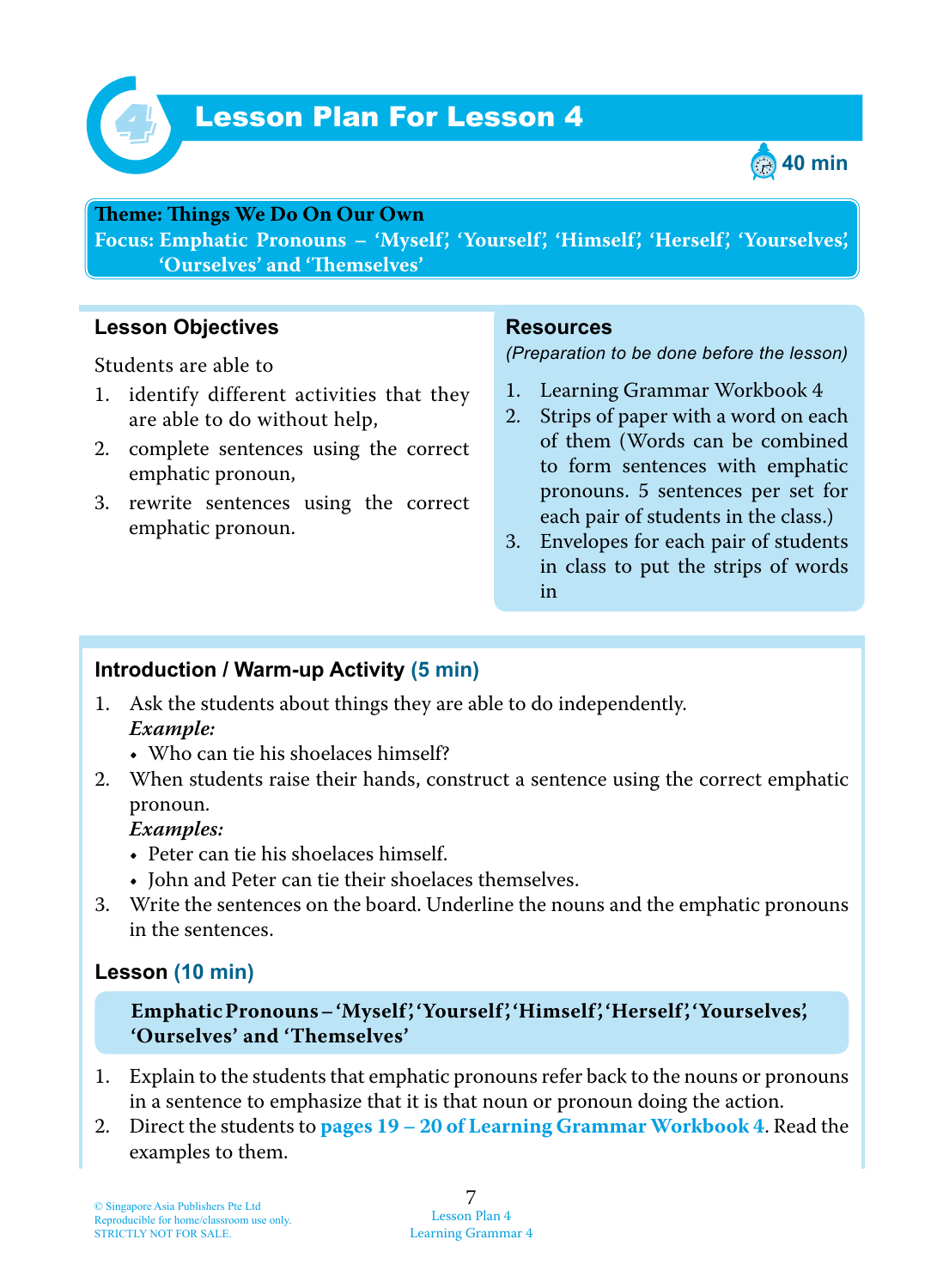

# *4* Lesson Plan For Lesson 4



#### **Teme : Tings We Do On Our Own**

**Focus: Emphatic Pronouns – 'Myself', 'Yourself', 'Himself', 'Herself', 'Yourselves', 'Ourselves' and 'Temselves'**

## **Lesson Objectives**

Students are able to

- 1. identify different activities that they are able to do without help,
- 2. complete sentences using the correct emphatic pronoun,
- 3. rewrite sentences using the correct emphatic pronoun.

#### **Resources**

*(Preparation to be done before the lesson)*

- 1. Learning Grammar Workbook 4
- 2. Strips of paper with a word on each of them (Words can be combined to form sentences with emphatic pronouns. 5 sentences per set for each pair of students in the class.)
- 3. Envelopes for each pair of students in class to put the strips of words in

## **Introduction / Warm-up Activity (5 min)**

- 1 . Ask the students about things they are able to do independently.  *Example:*
	- Who can tie his shoelaces himself?
- 2. When students raise their hands, construct a sentence using the correct emphatic pronoun.

#### *Examples:*

- Peter can tie his shoelaces himself.
- John and Peter can tie their shoelaces themselves.
- 3. Write the sentences on the board. Underline the nouns and the emphatic pronouns in the sentences.

## **Lesson (10 min)**

## **EmphaticPronouns–'Myself','Yourself','Himself','Herself','Yourselves', 'Ourselves' and 'Themselves'**

- 1 . Explain to the students that emphatic pronouns refer back to the nouns or pronouns in a sentence to emphasize that it is that noun or pronoun doing the action.
- 2. Direct the students to **pages 19 – 20 of Learning Grammar Workbook 4** . Read the examples to them.